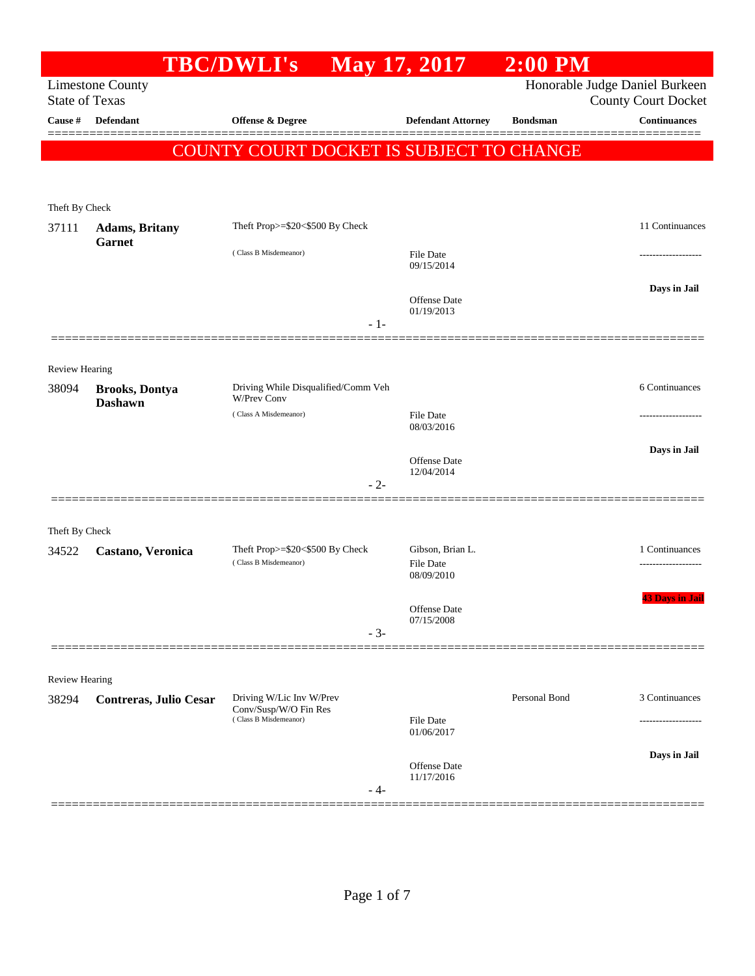|                                                  |                                         | <b>TBC/DWLI's</b>                                        |       | May 17, 2017                                       | $2:00$ PM       |                                                              |
|--------------------------------------------------|-----------------------------------------|----------------------------------------------------------|-------|----------------------------------------------------|-----------------|--------------------------------------------------------------|
| <b>Limestone County</b><br><b>State of Texas</b> |                                         |                                                          |       |                                                    |                 | Honorable Judge Daniel Burkeen<br><b>County Court Docket</b> |
| Cause #                                          | <b>Defendant</b>                        | <b>Offense &amp; Degree</b>                              |       | <b>Defendant Attorney</b>                          | <b>Bondsman</b> | <b>Continuances</b>                                          |
|                                                  |                                         | COUNTY COURT DOCKET IS SUBJECT TO CHANGE                 |       |                                                    |                 |                                                              |
| Theft By Check                                   |                                         |                                                          |       |                                                    |                 |                                                              |
| 37111                                            | <b>Adams</b> , Britany                  | Theft Prop>=\$20<\$500 By Check                          |       |                                                    |                 | 11 Continuances                                              |
|                                                  | <b>Garnet</b>                           | (Class B Misdemeanor)                                    |       | File Date<br>09/15/2014                            |                 |                                                              |
|                                                  |                                         |                                                          | $-1-$ | Offense Date<br>01/19/2013                         |                 | Days in Jail                                                 |
| Review Hearing                                   |                                         |                                                          |       |                                                    |                 |                                                              |
| 38094                                            | <b>Brooks, Dontya</b><br><b>Dashawn</b> | Driving While Disqualified/Comm Veh<br>W/Prev Conv       |       |                                                    |                 | 6 Continuances                                               |
|                                                  |                                         | (Class A Misdemeanor)                                    |       | <b>File Date</b><br>08/03/2016                     |                 |                                                              |
|                                                  |                                         |                                                          | $-2-$ | Offense Date<br>12/04/2014                         |                 | Days in Jail                                                 |
| Theft By Check                                   |                                         |                                                          |       |                                                    |                 |                                                              |
| 34522                                            | Castano, Veronica                       | Theft Prop>=\$20<\$500 By Check<br>(Class B Misdemeanor) |       | Gibson, Brian L.<br><b>File Date</b><br>08/09/2010 |                 | 1 Continuances                                               |
|                                                  |                                         |                                                          | $-3-$ | Offense Date<br>07/15/2008                         |                 | <b>43 Days in Jail</b>                                       |
|                                                  |                                         |                                                          |       |                                                    |                 |                                                              |
| Review Hearing                                   |                                         |                                                          |       |                                                    |                 |                                                              |
| 38294                                            | Contreras, Julio Cesar                  | Driving W/Lic Inv W/Prev<br>Conv/Susp/W/O Fin Res        |       |                                                    | Personal Bond   | 3 Continuances                                               |
|                                                  |                                         | (Class B Misdemeanor)                                    |       | <b>File Date</b><br>01/06/2017                     |                 |                                                              |
|                                                  |                                         |                                                          | - 4-  | Offense Date<br>11/17/2016                         |                 | Days in Jail                                                 |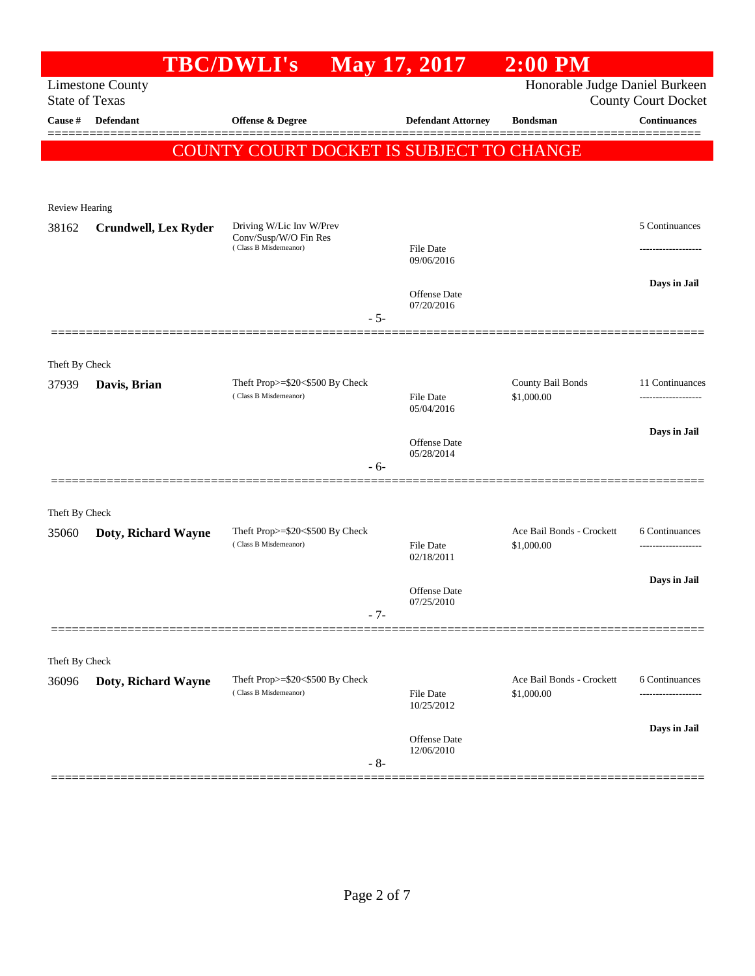|                                                                                                                  |                             | <b>TBC/DWLI's</b>                                        | May 17, 2017                      | $2:00$ PM                       |                                       |
|------------------------------------------------------------------------------------------------------------------|-----------------------------|----------------------------------------------------------|-----------------------------------|---------------------------------|---------------------------------------|
| Honorable Judge Daniel Burkeen<br><b>Limestone County</b><br><b>State of Texas</b><br><b>County Court Docket</b> |                             |                                                          |                                   |                                 |                                       |
| Cause #                                                                                                          | Defendant                   | Offense & Degree                                         | <b>Defendant Attorney</b>         | <b>Bondsman</b>                 | <b>Continuances</b>                   |
|                                                                                                                  |                             | COUNTY COURT DOCKET IS SUBJECT TO CHANGE                 |                                   |                                 |                                       |
|                                                                                                                  |                             |                                                          |                                   |                                 |                                       |
| Review Hearing                                                                                                   |                             |                                                          |                                   |                                 |                                       |
| 38162                                                                                                            | <b>Crundwell, Lex Ryder</b> | Driving W/Lic Inv W/Prev<br>Conv/Susp/W/O Fin Res        |                                   |                                 | 5 Continuances                        |
|                                                                                                                  |                             | (Class B Misdemeanor)                                    | File Date<br>09/06/2016           |                                 | ------------------                    |
|                                                                                                                  |                             |                                                          | Offense Date                      |                                 | Days in Jail                          |
|                                                                                                                  |                             | $-5-$                                                    | 07/20/2016                        |                                 |                                       |
|                                                                                                                  |                             |                                                          |                                   |                                 |                                       |
| Theft By Check                                                                                                   |                             |                                                          |                                   |                                 |                                       |
| 37939                                                                                                            | Davis, Brian                | Theft Prop>=\$20<\$500 By Check<br>(Class B Misdemeanor) | <b>File Date</b>                  | County Bail Bonds<br>\$1,000.00 | 11 Continuances<br>------------------ |
|                                                                                                                  |                             |                                                          | 05/04/2016                        |                                 |                                       |
|                                                                                                                  |                             |                                                          | Offense Date                      |                                 | Days in Jail                          |
|                                                                                                                  |                             | - 6-                                                     | 05/28/2014                        |                                 |                                       |
|                                                                                                                  |                             |                                                          |                                   |                                 |                                       |
| Theft By Check                                                                                                   |                             |                                                          |                                   | Ace Bail Bonds - Crockett       | 6 Continuances                        |
| 35060                                                                                                            | Doty, Richard Wayne         | Theft Prop>=\$20<\$500 By Check<br>(Class B Misdemeanor) | <b>File Date</b><br>02/18/2011    | \$1,000.00                      | ------------------                    |
|                                                                                                                  |                             |                                                          |                                   |                                 | Days in Jail                          |
|                                                                                                                  |                             |                                                          | <b>Offense</b> Date<br>07/25/2010 |                                 |                                       |
|                                                                                                                  |                             | $-7-$                                                    |                                   |                                 |                                       |
| Theft By Check                                                                                                   |                             |                                                          |                                   |                                 |                                       |
| 36096                                                                                                            | Doty, Richard Wayne         | Theft Prop>=\$20<\$500 By Check                          |                                   | Ace Bail Bonds - Crockett       | 6 Continuances                        |
|                                                                                                                  |                             | (Class B Misdemeanor)                                    | File Date<br>10/25/2012           | \$1,000.00                      | ----------------                      |
|                                                                                                                  |                             |                                                          | Offense Date                      |                                 | Days in Jail                          |
|                                                                                                                  |                             | $-8-$                                                    | 12/06/2010                        |                                 |                                       |
|                                                                                                                  |                             |                                                          |                                   |                                 |                                       |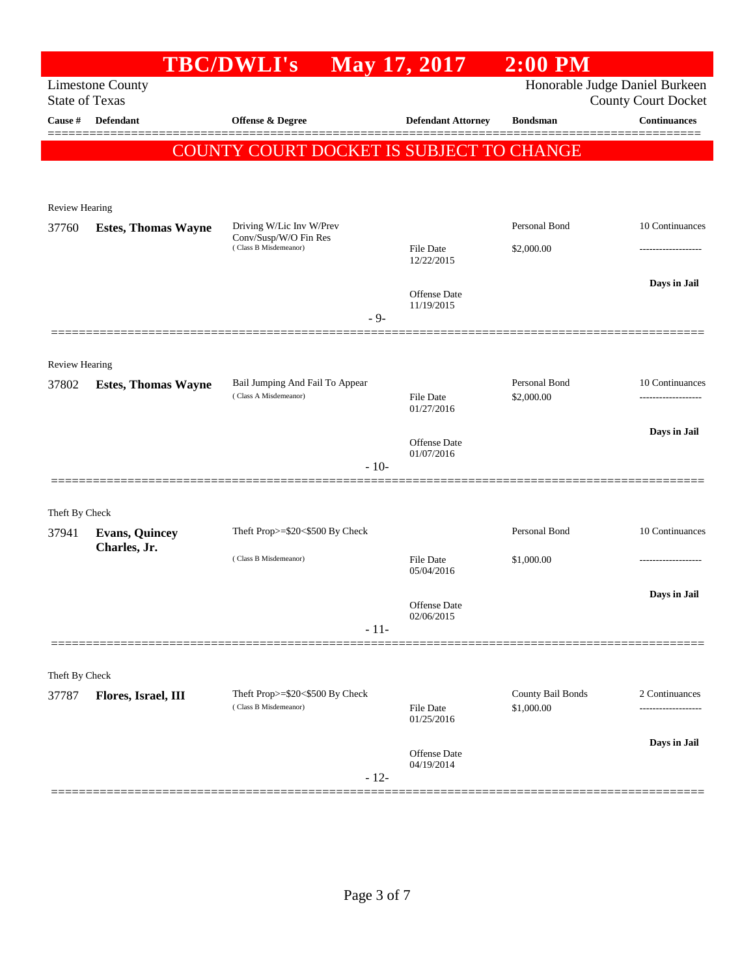|                         |                            | <b>TBC/DWLI's</b>                                        | May 17, 2017                      | $2:00$ PM                       |                                                              |
|-------------------------|----------------------------|----------------------------------------------------------|-----------------------------------|---------------------------------|--------------------------------------------------------------|
| <b>State of Texas</b>   | <b>Limestone County</b>    |                                                          |                                   |                                 | Honorable Judge Daniel Burkeen<br><b>County Court Docket</b> |
| Cause #                 | Defendant                  | <b>Offense &amp; Degree</b>                              | <b>Defendant Attorney</b>         | <b>Bondsman</b>                 | <b>Continuances</b>                                          |
|                         |                            | COUNTY COURT DOCKET IS SUBJECT TO CHANGE                 |                                   |                                 |                                                              |
|                         |                            |                                                          |                                   |                                 |                                                              |
|                         |                            |                                                          |                                   |                                 |                                                              |
| <b>Review Hearing</b>   |                            |                                                          |                                   |                                 |                                                              |
| 37760                   | <b>Estes, Thomas Wayne</b> | Driving W/Lic Inv W/Prev<br>Conv/Susp/W/O Fin Res        |                                   | Personal Bond                   | 10 Continuances                                              |
|                         |                            | (Class B Misdemeanor)                                    | File Date<br>12/22/2015           | \$2,000.00                      | -----------------                                            |
|                         |                            |                                                          |                                   |                                 | Days in Jail                                                 |
|                         |                            |                                                          | Offense Date<br>11/19/2015        |                                 |                                                              |
|                         |                            | $-9-$                                                    |                                   |                                 |                                                              |
|                         |                            |                                                          |                                   |                                 |                                                              |
| Review Hearing          |                            |                                                          |                                   |                                 |                                                              |
| 37802                   | <b>Estes, Thomas Wayne</b> | Bail Jumping And Fail To Appear<br>(Class A Misdemeanor) | File Date                         | Personal Bond<br>\$2,000.00     | 10 Continuances                                              |
|                         |                            |                                                          | 01/27/2016                        |                                 |                                                              |
|                         |                            |                                                          | Offense Date                      |                                 | Days in Jail                                                 |
|                         |                            |                                                          | 01/07/2016                        |                                 |                                                              |
|                         |                            | $-10-$                                                   |                                   |                                 |                                                              |
|                         |                            |                                                          |                                   |                                 |                                                              |
| Theft By Check<br>37941 | <b>Evans, Quincey</b>      | Theft Prop>=\$20<\$500 By Check                          |                                   | Personal Bond                   | 10 Continuances                                              |
|                         | Charles, Jr.               |                                                          |                                   |                                 |                                                              |
|                         |                            | (Class B Misdemeanor)                                    | File Date<br>05/04/2016           | \$1,000.00                      |                                                              |
|                         |                            |                                                          |                                   |                                 | Days in Jail                                                 |
|                         |                            |                                                          | <b>Offense</b> Date<br>02/06/2015 |                                 |                                                              |
|                         |                            | $-11-$                                                   |                                   |                                 |                                                              |
|                         |                            |                                                          |                                   |                                 |                                                              |
| Theft By Check          |                            |                                                          |                                   |                                 |                                                              |
| 37787                   | Flores, Israel, III        | Theft Prop>=\$20<\$500 By Check<br>(Class B Misdemeanor) | File Date                         | County Bail Bonds<br>\$1,000.00 | 2 Continuances                                               |
|                         |                            |                                                          | 01/25/2016                        |                                 |                                                              |
|                         |                            |                                                          | Offense Date                      |                                 | Days in Jail                                                 |
|                         |                            |                                                          | 04/19/2014                        |                                 |                                                              |
|                         |                            | $-12-$                                                   |                                   |                                 |                                                              |
|                         |                            |                                                          |                                   |                                 |                                                              |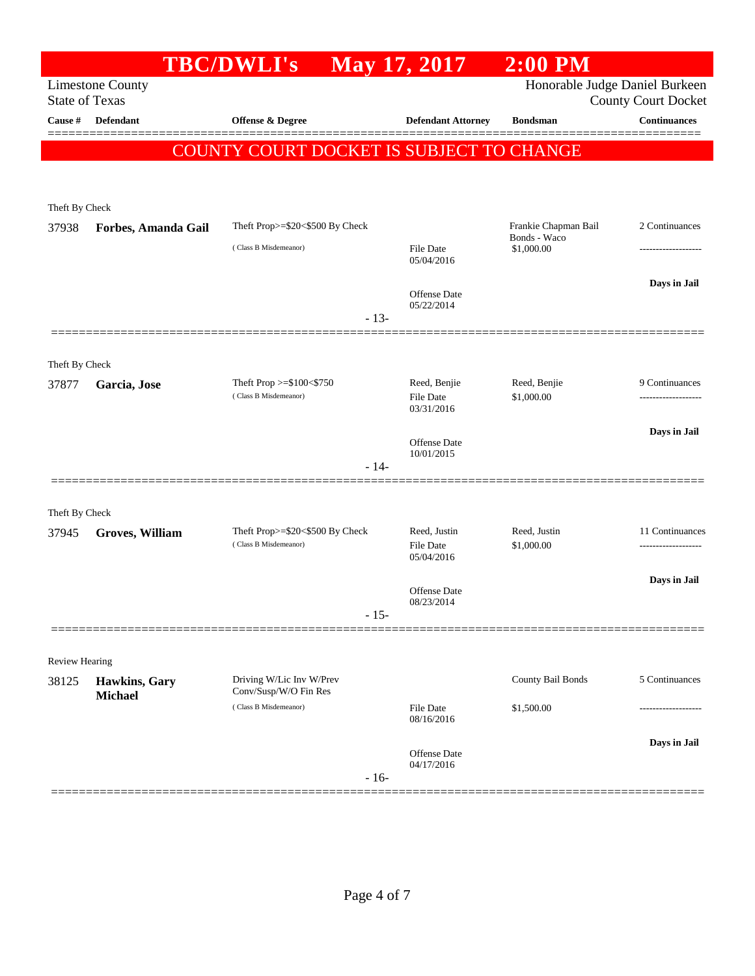|                                     |                                 | <b>TBC/DWLI's</b>                                        | <b>May 17, 2017</b>               | $2:00$ PM                      |                                                   |
|-------------------------------------|---------------------------------|----------------------------------------------------------|-----------------------------------|--------------------------------|---------------------------------------------------|
|                                     | <b>Limestone County</b>         |                                                          |                                   | Honorable Judge Daniel Burkeen |                                                   |
| <b>State of Texas</b><br>Cause $\#$ | <b>Defendant</b>                | Offense & Degree                                         | <b>Defendant Attorney</b>         | <b>Bondsman</b>                | <b>County Court Docket</b><br><b>Continuances</b> |
|                                     |                                 |                                                          |                                   |                                |                                                   |
|                                     |                                 | COUNTY COURT DOCKET IS SUBJECT TO CHANGE                 |                                   |                                |                                                   |
|                                     |                                 |                                                          |                                   |                                |                                                   |
|                                     |                                 |                                                          |                                   |                                |                                                   |
| Theft By Check<br>37938             | Forbes, Amanda Gail             | Theft Prop>=\$20<\$500 By Check                          |                                   | Frankie Chapman Bail           | 2 Continuances                                    |
|                                     |                                 | (Class B Misdemeanor)                                    | File Date                         | Bonds - Waco<br>\$1,000.00     |                                                   |
|                                     |                                 |                                                          | 05/04/2016                        |                                |                                                   |
|                                     |                                 |                                                          |                                   |                                | Days in Jail                                      |
|                                     |                                 |                                                          | Offense Date<br>05/22/2014        |                                |                                                   |
|                                     |                                 | $-13-$                                                   |                                   |                                |                                                   |
|                                     |                                 |                                                          |                                   |                                |                                                   |
| Theft By Check                      |                                 |                                                          |                                   |                                |                                                   |
| 37877                               | Garcia, Jose                    | Theft Prop $>= $100 < $750$<br>(Class B Misdemeanor)     | Reed, Benjie<br>File Date         | Reed, Benjie<br>\$1,000.00     | 9 Continuances                                    |
|                                     |                                 |                                                          | 03/31/2016                        |                                |                                                   |
|                                     |                                 |                                                          |                                   |                                | Days in Jail                                      |
|                                     |                                 |                                                          | Offense Date<br>10/01/2015        |                                |                                                   |
|                                     |                                 | $-14-$                                                   |                                   |                                |                                                   |
|                                     |                                 |                                                          |                                   |                                |                                                   |
| Theft By Check                      |                                 |                                                          |                                   |                                |                                                   |
| 37945                               | <b>Groves, William</b>          | Theft Prop>=\$20<\$500 By Check<br>(Class B Misdemeanor) | Reed, Justin<br><b>File Date</b>  | Reed, Justin<br>\$1,000.00     | 11 Continuances<br>-------------------            |
|                                     |                                 |                                                          | 05/04/2016                        |                                |                                                   |
|                                     |                                 |                                                          | <b>Offense</b> Date               |                                | Days in Jail                                      |
|                                     |                                 |                                                          | 08/23/2014                        |                                |                                                   |
|                                     |                                 | $-15-$                                                   |                                   |                                |                                                   |
|                                     |                                 |                                                          |                                   |                                |                                                   |
| Review Hearing<br>38125             |                                 | Driving W/Lic Inv W/Prev                                 |                                   | County Bail Bonds              | 5 Continuances                                    |
|                                     | Hawkins, Gary<br><b>Michael</b> | Conv/Susp/W/O Fin Res                                    |                                   |                                |                                                   |
|                                     |                                 | (Class B Misdemeanor)                                    | File Date<br>08/16/2016           | \$1,500.00                     |                                                   |
|                                     |                                 |                                                          |                                   |                                | Days in Jail                                      |
|                                     |                                 |                                                          | <b>Offense</b> Date<br>04/17/2016 |                                |                                                   |
|                                     |                                 | $-16-$                                                   |                                   |                                |                                                   |
|                                     |                                 |                                                          |                                   |                                |                                                   |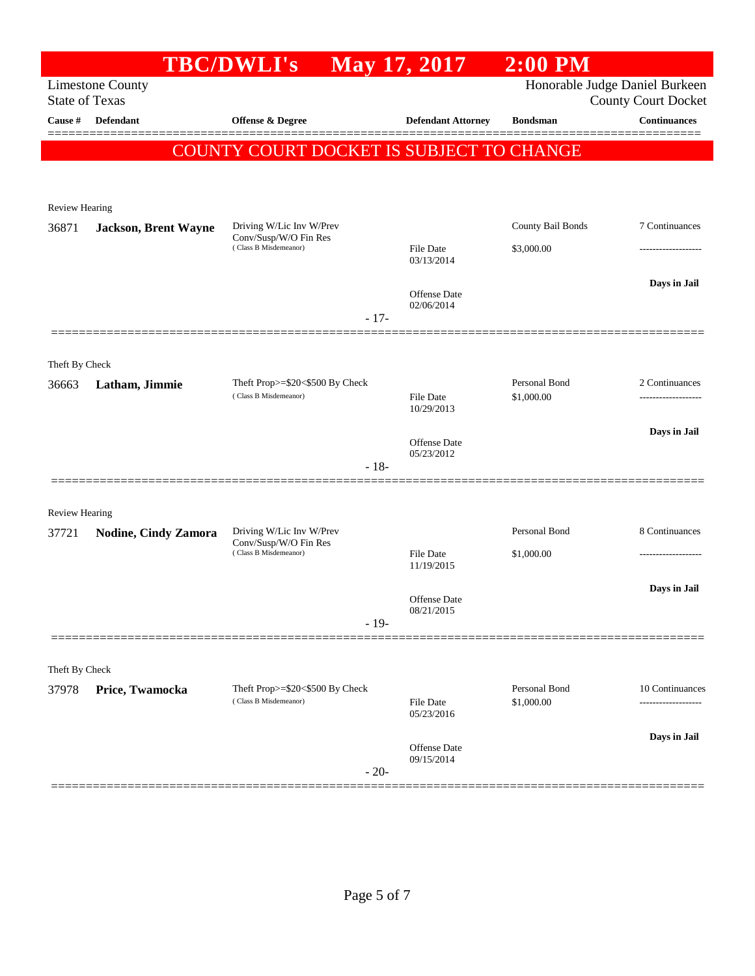|                                  |                             | <b>TBC/DWLI's</b>                                        | <b>May 17, 2017</b>               | $2:00$ PM                   |                                                   |
|----------------------------------|-----------------------------|----------------------------------------------------------|-----------------------------------|-----------------------------|---------------------------------------------------|
|                                  | <b>Limestone County</b>     |                                                          |                                   |                             | Honorable Judge Daniel Burkeen                    |
| <b>State of Texas</b><br>Cause # | <b>Defendant</b>            | Offense & Degree                                         | <b>Defendant Attorney</b>         | <b>Bondsman</b>             | <b>County Court Docket</b><br><b>Continuances</b> |
|                                  |                             |                                                          |                                   |                             |                                                   |
|                                  |                             | COUNTY COURT DOCKET IS SUBJECT TO CHANGE                 |                                   |                             |                                                   |
|                                  |                             |                                                          |                                   |                             |                                                   |
| <b>Review Hearing</b>            |                             |                                                          |                                   |                             |                                                   |
| 36871                            | <b>Jackson, Brent Wayne</b> | Driving W/Lic Inv W/Prev<br>Conv/Susp/W/O Fin Res        |                                   | County Bail Bonds           | 7 Continuances                                    |
|                                  |                             | (Class B Misdemeanor)                                    | <b>File Date</b><br>03/13/2014    | \$3,000.00                  | ----------------                                  |
|                                  |                             |                                                          |                                   |                             | Days in Jail                                      |
|                                  |                             |                                                          | <b>Offense</b> Date<br>02/06/2014 |                             |                                                   |
|                                  |                             | $-17-$                                                   |                                   |                             |                                                   |
|                                  |                             |                                                          |                                   |                             |                                                   |
| Theft By Check                   |                             |                                                          |                                   |                             |                                                   |
| 36663                            | Latham, Jimmie              | Theft Prop>=\$20<\$500 By Check<br>(Class B Misdemeanor) | File Date                         | Personal Bond<br>\$1,000.00 | 2 Continuances<br>------------------              |
|                                  |                             |                                                          | 10/29/2013                        |                             |                                                   |
|                                  |                             |                                                          | <b>Offense</b> Date               |                             | Days in Jail                                      |
|                                  |                             | $-18-$                                                   | 05/23/2012                        |                             |                                                   |
|                                  |                             |                                                          |                                   |                             |                                                   |
| <b>Review Hearing</b>            |                             |                                                          |                                   |                             |                                                   |
| 37721                            | <b>Nodine, Cindy Zamora</b> | Driving W/Lic Inv W/Prev<br>Conv/Susp/W/O Fin Res        |                                   | Personal Bond               | 8 Continuances                                    |
|                                  |                             | (Class B Misdemeanor)                                    | <b>File Date</b><br>11/19/2015    | \$1,000.00                  | .                                                 |
|                                  |                             |                                                          |                                   |                             | Days in Jail                                      |
|                                  |                             |                                                          | Offense Date<br>08/21/2015        |                             |                                                   |
|                                  |                             | $-19-$                                                   |                                   |                             |                                                   |
|                                  |                             |                                                          |                                   |                             |                                                   |
| Theft By Check<br>37978          | Price, Twamocka             | Theft Prop>=\$20<\$500 By Check                          |                                   | Personal Bond               | 10 Continuances                                   |
|                                  |                             | (Class B Misdemeanor)                                    | File Date<br>05/23/2016           | \$1,000.00                  | .                                                 |
|                                  |                             |                                                          |                                   |                             | Days in Jail                                      |
|                                  |                             |                                                          | Offense Date<br>09/15/2014        |                             |                                                   |
|                                  |                             | $-20-$                                                   |                                   |                             |                                                   |
|                                  |                             |                                                          |                                   |                             |                                                   |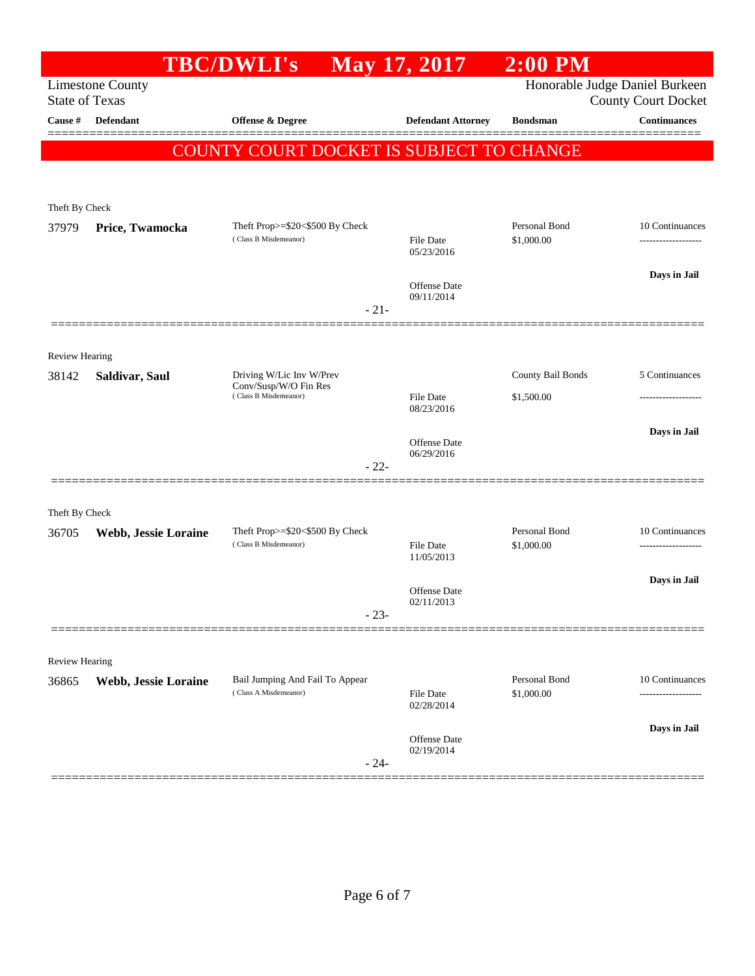|                                |                                                                                                                  | <b>TBC/DWLI's</b>                                        | May 17, 2017               | <b>2:00 PM</b>              |                     |  |  |  |
|--------------------------------|------------------------------------------------------------------------------------------------------------------|----------------------------------------------------------|----------------------------|-----------------------------|---------------------|--|--|--|
|                                | Honorable Judge Daniel Burkeen<br><b>Limestone County</b><br><b>State of Texas</b><br><b>County Court Docket</b> |                                                          |                            |                             |                     |  |  |  |
| Cause #                        | Defendant                                                                                                        | <b>Offense &amp; Degree</b>                              | <b>Defendant Attorney</b>  | <b>Bondsman</b>             | <b>Continuances</b> |  |  |  |
|                                |                                                                                                                  | COUNTY COURT DOCKET IS SUBJECT TO CHANGE                 |                            |                             |                     |  |  |  |
|                                |                                                                                                                  |                                                          |                            |                             |                     |  |  |  |
| Theft By Check                 |                                                                                                                  |                                                          |                            |                             |                     |  |  |  |
| 37979                          | Price, Twamocka                                                                                                  | Theft Prop>=\$20<\$500 By Check                          |                            | Personal Bond               | 10 Continuances     |  |  |  |
|                                |                                                                                                                  | (Class B Misdemeanor)                                    | File Date<br>05/23/2016    | \$1,000.00                  | ------------------- |  |  |  |
|                                |                                                                                                                  |                                                          |                            |                             | Days in Jail        |  |  |  |
|                                |                                                                                                                  |                                                          | Offense Date<br>09/11/2014 |                             |                     |  |  |  |
|                                |                                                                                                                  | $-21-$                                                   |                            |                             |                     |  |  |  |
|                                |                                                                                                                  |                                                          |                            |                             |                     |  |  |  |
| <b>Review Hearing</b><br>38142 | Saldivar, Saul                                                                                                   | Driving W/Lic Inv W/Prev                                 |                            | County Bail Bonds           | 5 Continuances      |  |  |  |
|                                |                                                                                                                  | Conv/Susp/W/O Fin Res<br>(Class B Misdemeanor)           | File Date                  | \$1,500.00                  |                     |  |  |  |
|                                |                                                                                                                  |                                                          | 08/23/2016                 |                             |                     |  |  |  |
|                                |                                                                                                                  |                                                          | Offense Date               |                             | Days in Jail        |  |  |  |
|                                |                                                                                                                  | $-22-$                                                   | 06/29/2016                 |                             |                     |  |  |  |
|                                |                                                                                                                  |                                                          |                            |                             |                     |  |  |  |
| Theft By Check                 |                                                                                                                  |                                                          |                            |                             |                     |  |  |  |
| 36705                          | Webb, Jessie Loraine                                                                                             | Theft Prop>=\$20<\$500 By Check<br>(Class B Misdemeanor) | <b>File Date</b>           | Personal Bond<br>\$1,000.00 | 10 Continuances     |  |  |  |
|                                |                                                                                                                  |                                                          | 11/05/2013                 |                             |                     |  |  |  |
|                                |                                                                                                                  |                                                          | Offense Date               |                             | Days in Jail        |  |  |  |
|                                |                                                                                                                  | $-23-$                                                   | 02/11/2013                 |                             |                     |  |  |  |
|                                |                                                                                                                  |                                                          |                            |                             |                     |  |  |  |
| Review Hearing                 |                                                                                                                  |                                                          |                            |                             |                     |  |  |  |
| 36865                          | Webb, Jessie Loraine                                                                                             | Bail Jumping And Fail To Appear<br>(Class A Misdemeanor) | File Date                  | Personal Bond<br>\$1,000.00 | 10 Continuances     |  |  |  |
|                                |                                                                                                                  |                                                          | 02/28/2014                 |                             | ------------        |  |  |  |
|                                |                                                                                                                  |                                                          | <b>Offense</b> Date        |                             | Days in Jail        |  |  |  |
|                                |                                                                                                                  | $-24-$                                                   | 02/19/2014                 |                             |                     |  |  |  |
|                                |                                                                                                                  |                                                          |                            |                             |                     |  |  |  |